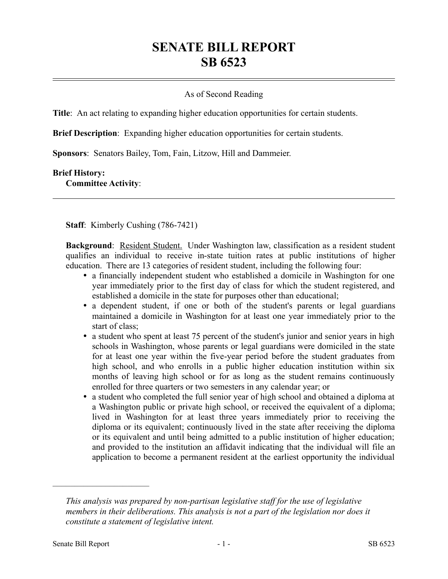## **SENATE BILL REPORT SB 6523**

## As of Second Reading

**Title**: An act relating to expanding higher education opportunities for certain students.

**Brief Description**: Expanding higher education opportunities for certain students.

**Sponsors**: Senators Bailey, Tom, Fain, Litzow, Hill and Dammeier.

## **Brief History:**

**Committee Activity**:

**Staff**: Kimberly Cushing (786-7421)

**Background**: Resident Student. Under Washington law, classification as a resident student qualifies an individual to receive in-state tuition rates at public institutions of higher education. There are 13 categories of resident student, including the following four:

- a financially independent student who established a domicile in Washington for one year immediately prior to the first day of class for which the student registered, and established a domicile in the state for purposes other than educational;
- a dependent student, if one or both of the student's parents or legal guardians maintained a domicile in Washington for at least one year immediately prior to the start of class;
- a student who spent at least 75 percent of the student's junior and senior years in high schools in Washington, whose parents or legal guardians were domiciled in the state for at least one year within the five-year period before the student graduates from high school, and who enrolls in a public higher education institution within six months of leaving high school or for as long as the student remains continuously enrolled for three quarters or two semesters in any calendar year; or
- a student who completed the full senior year of high school and obtained a diploma at a Washington public or private high school, or received the equivalent of a diploma; lived in Washington for at least three years immediately prior to receiving the diploma or its equivalent; continuously lived in the state after receiving the diploma or its equivalent and until being admitted to a public institution of higher education; and provided to the institution an affidavit indicating that the individual will file an application to become a permanent resident at the earliest opportunity the individual

––––––––––––––––––––––

*This analysis was prepared by non-partisan legislative staff for the use of legislative members in their deliberations. This analysis is not a part of the legislation nor does it constitute a statement of legislative intent.*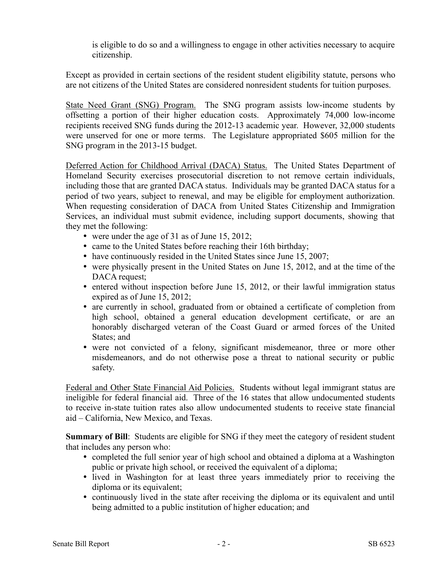is eligible to do so and a willingness to engage in other activities necessary to acquire citizenship.

Except as provided in certain sections of the resident student eligibility statute, persons who are not citizens of the United States are considered nonresident students for tuition purposes.

State Need Grant (SNG) Program. The SNG program assists low-income students by offsetting a portion of their higher education costs. Approximately 74,000 low-income recipients received SNG funds during the 2012-13 academic year. However, 32,000 students were unserved for one or more terms. The Legislature appropriated \$605 million for the SNG program in the 2013-15 budget.

Deferred Action for Childhood Arrival (DACA) Status. The United States Department of Homeland Security exercises prosecutorial discretion to not remove certain individuals, including those that are granted DACA status. Individuals may be granted DACA status for a period of two years, subject to renewal, and may be eligible for employment authorization. When requesting consideration of DACA from United States Citizenship and Immigration Services, an individual must submit evidence, including support documents, showing that they met the following:

- were under the age of 31 as of June 15, 2012;
- came to the United States before reaching their 16th birthday;
- have continuously resided in the United States since June 15, 2007;
- were physically present in the United States on June 15, 2012, and at the time of the DACA request;
- entered without inspection before June 15, 2012, or their lawful immigration status expired as of June 15, 2012;
- are currently in school, graduated from or obtained a certificate of completion from high school, obtained a general education development certificate, or are an honorably discharged veteran of the Coast Guard or armed forces of the United States; and
- were not convicted of a felony, significant misdemeanor, three or more other misdemeanors, and do not otherwise pose a threat to national security or public safety.

Federal and Other State Financial Aid Policies. Students without legal immigrant status are ineligible for federal financial aid. Three of the 16 states that allow undocumented students to receive in-state tuition rates also allow undocumented students to receive state financial aid – California, New Mexico, and Texas.

**Summary of Bill**: Students are eligible for SNG if they meet the category of resident student that includes any person who:

- completed the full senior year of high school and obtained a diploma at a Washington public or private high school, or received the equivalent of a diploma;
- lived in Washington for at least three years immediately prior to receiving the diploma or its equivalent;
- continuously lived in the state after receiving the diploma or its equivalent and until being admitted to a public institution of higher education; and